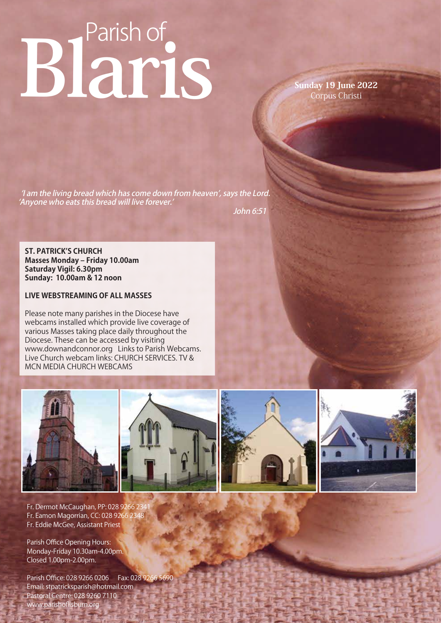# Parish of **Blaris**

Sunday 19 June 2022 Corpus Christi

ʻI am the living bread which has come down from heaven', says the Lord. ʻAnyone who eats this bread will live forever.'

John 6:51

**ST. PATRICK'S CHURCH Masses Monday ‒ Friday 10.00am Saturday Vigil: 6.30pm Sunday: 10.00am & 12 noon**

#### **LIVE WEBSTREAMING OF ALL MASSES**

Please note many parishes in the Diocese have webcams installed which provide live coverage of various Masses taking place daily throughout the Diocese. These can be accessed by visiting www.downandconnor.org Links to Parish Webcams. Live Church webcam links: CHURCH SERVICES. TV & MCN MEDIA CHURCH WEBCAMS





Parish Office Opening Hours: Monday-Friday 10.30am-4.00pm. Closed 1.00pm-2.00pm.

Parish Office: 028 9266 0206 Fax: 028 9266 5690 Email: stpatricksparish@hotmail.com Pastoral Centre: 028 9260 7110 www.parishoflisburn.org



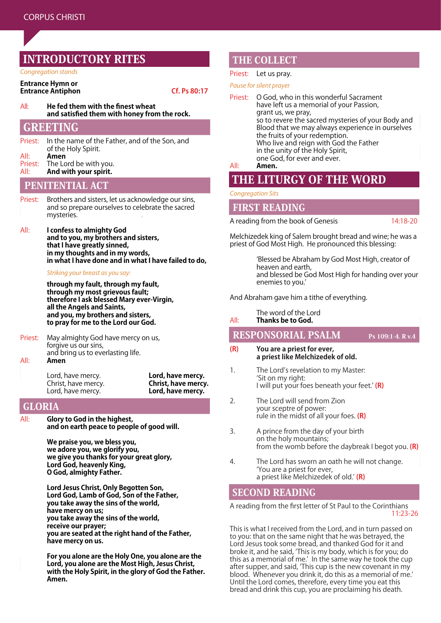# INTRODUCTORY RITES

#### *Congregation stands*

**Entrance Hymn or Entrance Antiphon Cf. Ps 80:17** 

Lord, have mercy.

| All: | He fed them with the finest wheat            |
|------|----------------------------------------------|
|      | and satisfied them with honey from the rock. |

# GREETING

|         | Priest: In the name of the Father, and of the Son, and<br>of the Holy Spirit. |
|---------|-------------------------------------------------------------------------------|
| All:    | Amen                                                                          |
| Priest: | The Lord be with you.                                                         |
| All:    | And with your spirit.                                                         |

- Priest: Brothers and sisters, let us acknowledge our sins, and so prepare ourselves to celebrate the sacred mysteries.
- All: **I confess to almighty God and to you, my brothers and sisters, that I have greatly sinned, in my thoughts and in my words, in what I have done and in what I have failed to do,**

#### *Striking your breast as you say:*

 **through my fault, through my fault, through my most grievous fault; therefore I ask blessed Mary ever-Virgin, all the Angels and Saints, and you, my brothers and sisters, to pray for me to the Lord our God.**

Priest: May almighty God have mercy on us, forgive us our sins, and bring us to everlasting life.<br>All: **Amen** All: **Amen**

 Lord, have mercy. **Lord, have mercy.** Christ, have mercy. **Christ, have mercy.**

## **GLORIA**

All: **Glory to God in the highest, and on earth peace to people of good will.**

> **We praise you, we bless you, we adore you, we glorify you, we give you thanks for your great glory, Lord God, heavenly King, O God, almighty Father.**

 **Lord Jesus Christ, Only Begotten Son, Lord God, Lamb of God, Son of the Father, you take away the sins of the world, have mercy on us; you take away the sins of the world, receive our prayer; you are seated at the right hand of the Father, have mercy on us.**

 **For you alone are the Holy One, you alone are the Lord, you alone are the Most High, Jesus Christ, with the Holy Spirit, in the glory of God the Father. Amen.**

#### THE COLLECT

#### Priest: Let us pray.

#### *Pause for silent prayer*

Priest: O God, who in this wonderful Sacrament have left us a memorial of your Passion, grant us, we pray, so to revere the sacred mysteries of your Body and Blood that we may always experience in ourselves the fruits of your redemption. Who live and reign with God the Father in the unity of the Holy Spirit, one God, for ever and ever.<br>All: **Amen.** 

#### Amen.

# PENITENTIAL ACT **THE LITURGY OF THE WORD**

*Congregation Sits*

#### FIRST READING

A reading from the book of Genesis 14:18-20

Melchizedek king of Salem brought bread and wine; he was a priest of God Most High. He pronounced this blessing:

> ʻBlessed be Abraham by God Most High, creator of heaven and earth, and blessed be God Most High for handing over your enemies to you.'

And Abraham gave him a tithe of everything.

# The word of the Lord<br>All: **Thanks be to God.**

**Thanks be to God.** 

#### RESPONSORIAL PSALM Ps 109:1-4. R v.4

#### **(R) You are a priest for ever, a priest like Melchizedek of old.**

- 1. The Lord's revelation to my Master: ʻSit on my right: I will put your foes beneath your feet.' **(R)**
- 2. The Lord will send from Zion your sceptre of power: rule in the midst of all your foes. **(R)**
- 3. A prince from the day of your birth on the holy mountains; from the womb before the daybreak I begot you. **(R)**
- 4. The Lord has sworn an oath he will not change. ʻYou are a priest for ever, a priest like Melchizedek of old.' **(R)**

# SECOND READING

A reading from the first letter of St Paul to the Corinthians 11:23-26

This is what I received from the Lord, and in turn passed on to you: that on the same night that he was betrayed, the Lord Jesus took some bread, and thanked God for it and broke it, and he said, ʻThis is my body, which is for you; do this as a memorial of me.' In the same way he took the cup after supper, and said, ʻThis cup is the new covenant in my blood. Whenever you drink it, do this as a memorial of me.' Until the Lord comes, therefore, every time you eat this bread and drink this cup, you are proclaiming his death.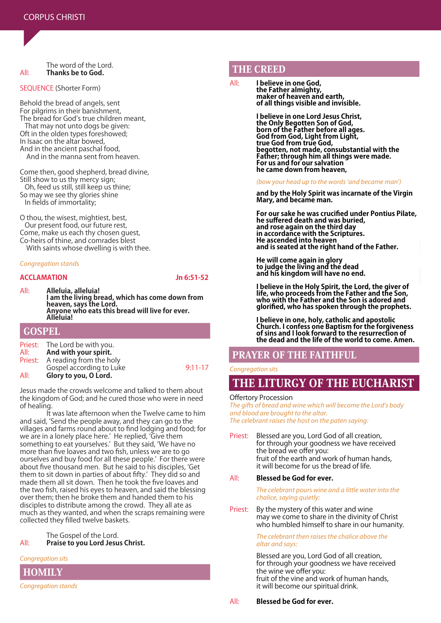#### The word of the Lord.<br>All: **Thanks be to God**. Thanks be to God.

#### SEQUENCE (Shorter Form)

Behold the bread of angels, sent For pilgrims in their banishment, The bread for God's true children meant,

 That may not unto dogs be given: Oft in the olden types foreshowed; In Isaac on the altar bowed, And in the ancient paschal food, And in the manna sent from heaven.

Come then, good shepherd, bread divine, Still show to us thy mercy sign; Oh, feed us still, still keep us thine; So may we see thy glories shine In fields of immortality;

O thou, the wisest, mightiest, best, Our present food, our future rest, Come, make us each thy chosen guest, Co-heirs of thine, and comrades blest With saints whose dwelling is with thee.

#### *Congregation stands*

#### **ACCLAMATION Jn 6:51-52**

All: **Alleluia, alleluia! I am the living bread, which has come down from heaven, says the Lord. Anyone who eats this bread will live for ever. Alleluia!**

#### GOSPEL

| All: | Priest: The Lord be with you.<br>And with your spirit. |             |
|------|--------------------------------------------------------|-------------|
|      | Priest: A reading from the holy                        |             |
|      | Gospel according to Luke                               | $9:11 - 17$ |
| All: | Glory to you, O Lord.                                  |             |

Jesus made the crowds welcome and talked to them about the kingdom of God; and he cured those who were in need of healing.

 It was late afternoon when the Twelve came to him and said, ʻSend the people away, and they can go to the villages and farms round about to find lodging and food; for we are in a lonely place here.' He replied, ʻGive them something to eat yourselves.' But they said, ʻWe have no more than five loaves and two fish, unless we are to go ourselves and buy food for all these people.' For there were about five thousand men. But he said to his disciples, ʻGet them to sit down in parties of about fifty.' They did so and made them all sit down. Then he took the five loaves and the two fish, raised his eyes to heaven, and said the blessing over them; then he broke them and handed them to his disciples to distribute among the crowd. They all ate as much as they wanted, and when the scraps remaining were collected they filled twelve baskets.

#### The Gospel of the Lord.<br>All: **Praise to you Lord Jesu** All: **Praise to you Lord Jesus Christ.**

*Congregation sits*

**HOMILY** 

*Congregation stands*

# THE CREED

All: **I believe in one God, the Father almighty, maker of heaven and earth, of all things visible and invisible.**

 **I believe in one Lord Jesus Christ, the Only Begotten Son of God, born of the Father before all ages. God from God, Light from Light, true God from true God, begotten, not made, consubstantial with the Father; through him all things were made. For us and for our salvation he came down from heaven,**

*(bow your head up to the words 'and became man')*

 **and by the Holy Spirit was incarnate of the Virgin Mary, and became man.**

 **For our sake he was crucified under Pontius Pilate, he suffered death and was buried, and rose again on the third day in accordance with the Scriptures. He ascended into heaven and is seated at the right hand of the Father.**

 **He will come again in glory to judge the living and the dead and his kingdom will have no end.**

 **I believe in the Holy Spirit, the Lord, the giver of life, who proceeds from the Father and the Son, who with the Father and the Son is adored and glorified, who has spoken through the prophets.**

 **I believe in one, holy, catholic and apostolic Church. I confess one Baptism for the forgiveness of sins and I look forward to the resurrection of the dead and the life of the world to come. Amen.**

## PRAYER OF THE FAITHFUL

#### *Congregation sits*

# THE LITURGY OF THE EUCHARIST

#### Offertory Procession

*The gifts of bread and wine which will become the Lord's body and blood are brought to the altar. The celebrant raises the host on the paten saying:*

Priest: Blessed are you, Lord God of all creation, for through your goodness we have received the bread we offer you: fruit of the earth and work of human hands, it will become for us the bread of life.

#### All: **Blessed be God for ever.**

*The celebrant pours wine and a little water into the chalice, saying quietly:*

Priest: By the mystery of this water and wine may we come to share in the divinity of Christ who humbled himself to share in our humanity.

> *The celebrant then raises the chalice above the altar and says:*

 Blessed are you, Lord God of all creation, for through your goodness we have received the wine we offer you: fruit of the vine and work of human hands, it will become our spiritual drink.

All: **Blessed be God for ever.**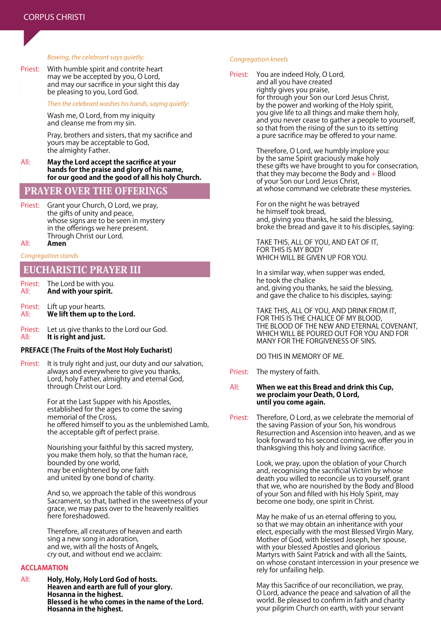#### *Bowing, the celebrant says quietly:*

Priest: With humble spirit and contrite heart may we be accepted by you, O Lord, and may our sacrifice in your sight this day be pleasing to you, Lord God.

 *Then the celebrant washes his hands, saying quietly:*

Wash me, O Lord, from my iniquity and cleanse me from my sin.

 Pray, brothers and sisters, that my sacrifice and yours may be acceptable to God, the almighty Father.

All: **May the Lord accept the sacrifice at your hands for the praise and glory of his name, for our good and the good of all his holy Church.**

#### PRAYER OVER THE OFFERINGS

Priest: Grant your Church, O Lord, we pray, the gifts of unity and peace, whose signs are to be seen in mystery in the offerings we here present. Through Christ our Lord.<br>All: **Amen** 

#### All: **Amen**

#### *Congregation stands*

#### EUCHARISTIC PRAYER III

- Priest: The Lord be with you.<br>All: **And with your spirit.** And with your spirit.
- Priest: Lift up your hearts.<br>All: **We lift them up to** We lift them up to the Lord.
- Priest: Let us give thanks to the Lord our God.<br>All: **It is right and just.** It is right and just.

#### **PREFACE (The Fruits of the Most Holy Eucharist)**

Priest: It is truly right and just, our duty and our salvation, always and everywhere to give you thanks, Lord, holy Father, almighty and eternal God, through Christ our Lord.

> For at the Last Supper with his Apostles, established for the ages to come the saving memorial of the Cross, he offered himself to you as the unblemished Lamb, the acceptable gift of perfect praise.

 Nourishing your faithful by this sacred mystery, you make them holy, so that the human race, bounded by one world, may be enlightened by one faith and united by one bond of charity.

 And so, we approach the table of this wondrous Sacrament, so that, bathed in the sweetness of your grace, we may pass over to the heavenly realities here foreshadowed.

 Therefore, all creatures of heaven and earth sing a new song in adoration, and we, with all the hosts of Angels, cry out, and without end we acclaim:

#### **ACCLAMATION**

All: **Holy, Holy, Holy Lord God of hosts. Heaven and earth are full of your glory. Hosanna in the highest. Blessed is he who comes in the name of the Lord. Hosanna in the highest.**

#### *Congregation kneels*

Priest: You are indeed Holy, O Lord, and all you have created rightly gives you praise, for through your Son our Lord Jesus Christ, by the power and working of the Holy spirit, you give life to all things and make them holy, and you never cease to gather a people to yourself, so that from the rising of the sun to its setting a pure sacrifice may be offered to your name.

> Therefore, O Lord, we humbly implore you: by the same Spirit graciously make holy these gifts we have brought to you for consecration, that they may become the Body and  $+$  Blood of your Son our Lord Jesus Christ, at whose command we celebrate these mysteries.

 For on the night he was betrayed he himself took bread, and, giving you thanks, he said the blessing, broke the bread and gave it to his disciples, saying:

 TAKE THIS, ALL OF YOU, AND EAT OF IT, FOR THIS IS MY BODY WHICH WILL BE GIVEN UP FOR YOU.

 In a similar way, when supper was ended, he took the chalice and, giving you thanks, he said the blessing, and gave the chalice to his disciples, saying:

 TAKE THIS, ALL OF YOU, AND DRINK FROM IT, FOR THIS IS THE CHALICE OF MY BLOOD, THE BLOOD OF THE NEW AND ETERNAL COVENANT, WHICH WILL BE POURED OUT FOR YOU AND FOR MANY FOR THE FORGIVENESS OF SINS.

DO THIS IN MEMORY OF ME.

Priest: The mystery of faith.

#### All: **When we eat this Bread and drink this Cup, we proclaim your Death, O Lord, until you come again.**

Priest: Therefore, O Lord, as we celebrate the memorial of the saving Passion of your Son, his wondrous Resurrection and Ascension into heaven, and as we look forward to his second coming, we offer you in thanksgiving this holy and living sacrifice.

> Look, we pray, upon the oblation of your Church and, recognising the sacrificial Victim by whose death you willed to reconcile us to yourself, grant that we, who are nourished by the Body and Blood of your Son and filled with his Holy Spirit, may become one body, one spirit in Christ.

 May he make of us an eternal offering to you, so that we may obtain an inheritance with your elect, especially with the most Blessed Virgin Mary, Mother of God, with blessed Joseph, her spouse, with your blessed Apostles and glorious Martyrs with Saint Patrick and with all the Saints, on whose constant intercession in your presence we rely for unfailing help.

 May this Sacrifice of our reconciliation, we pray, O Lord, advance the peace and salvation of all the world. Be pleased to confirm in faith and charity your pilgrim Church on earth, with your servant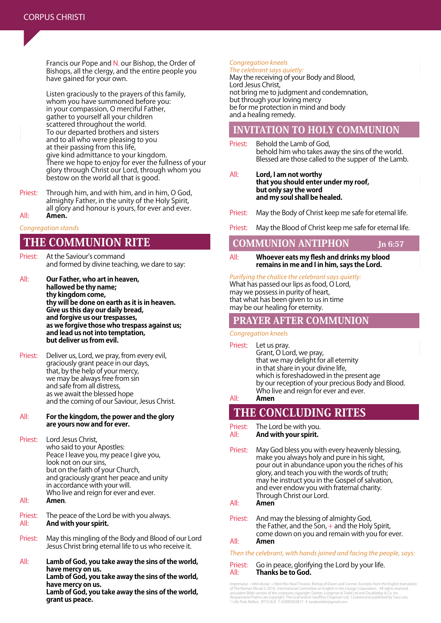Francis our Pope and N. our Bishop, the Order of Bishops, all the clergy, and the entire people you have gained for your own.

 Listen graciously to the prayers of this family, whom you have summoned before you: in your compassion, O merciful Father, gather to yourself all your children scattered throughout the world. To our departed brothers and sisters and to all who were pleasing to you at their passing from this life, give kind admittance to your kingdom. There we hope to enjoy for ever the fullness of your glory through Christ our Lord, through whom you bestow on the world all that is good.

Priest: Through him, and with him, and in him, O God, almighty Father, in the unity of the Holy Spirit, all glory and honour is yours, for ever and ever.<br>All: **Amen.** Amen.

#### *Congregation stands*

# THE COMMUNION RITE

- Priest: At the Saviour's command and formed by divine teaching, we dare to say:
- All: **Our Father, who art in heaven, hallowed be thy name; thy kingdom come, thy will be done on earth as it is in heaven. Give us this day our daily bread, and forgive us our trespasses, as we forgive those who trespass against us; and lead us not into temptation, but deliver us from evil.**
- Priest: Deliver us, Lord, we pray, from every evil, graciously grant peace in our days, that, by the help of your mercy, we may be always free from sin and safe from all distress, as we await the blessed hope and the coming of our Saviour, Jesus Christ.

#### All: **For the kingdom, the power and the glory are yours now and for ever.**

Priest: Lord Jesus Christ, who said to your Apostles: Peace I leave you, my peace I give you, look not on our sins, but on the faith of your Church, and graciously grant her peace and unity in accordance with your will. Who live and reign for ever and ever.<br>All: **Amen**. All: **Amen**.

- Priest: The peace of the Lord be with you always.<br>All: **And with your spirit.** And with your spirit.
- Priest: May this mingling of the Body and Blood of our Lord Jesus Christ bring eternal life to us who receive it.
- All: **Lamb of God, you take away the sins of the world, have mercy on us. Lamb of God, you take away the sins of the world, have mercy on us. Lamb of God, you take away the sins of the world, grant us peace.**

## *Congregation kneels*

*The celebrant says quietly:*

May the receiving of your Body and Blood, Lord Jesus Christ, not bring me to judgment and condemnation, but through your loving mercy be for me protection in mind and body and a healing remedy.

#### INVITATION TO HOLY COMMUNION

Priest: Behold the Lamb of God, behold him who takes away the sins of the world. Blessed are those called to the supper of the Lamb.

- All: **Lord, I am not worthy that you should enter under my roof, but only say the word and my soul shall be healed.**
- Priest: May the Body of Christ keep me safe for eternal life.
- Priest: May the Blood of Christ keep me safe for eternal life.

#### COMMUNION ANTIPHON Jn 6:57

All: **Whoever eats my flesh and drinks my blood remains in me and I in him, says the Lord.**

#### *Purifying the chalice the celebrant says quietly:*

What has passed our lips as food, O Lord, may we possess in purity of heart, that what has been given to us in time may be our healing for eternity.

#### PRAYER AFTER COMMUNION

#### *Congregation kneels*

|      | Priest: Let us pray.                              |
|------|---------------------------------------------------|
|      | Grant, O Lord, we pray,                           |
|      | that we may delight for all eternity              |
|      | in that share in your divine life,                |
|      | which is foreshadowed in the present age          |
|      | by our reception of your precious Body and Blood. |
|      | Who live and reign for ever and ever.             |
| ΛII. | Aman                                              |

#### All: **Amen**

# THE CONCLUDING RITES

Priest: The Lord be with you.<br>All: **And with your spirit.** 

- And with your spirit.
- Priest: May God bless you with every heavenly blessing, make you always holy and pure in his sight, pour out in abundance upon you the riches of his glory, and teach you with the words of truth; may he instruct you in the Gospel of salvation, and ever endow you with fraternal charity. Through Christ our Lord.<br>All: **Amen**

#### All: **Amen**

Priest: And may the blessing of almighty God, the Father, and the Son,  $+$  and the Holy Spirit, come down on you and remain with you for ever.<br>All: **Amen** All: **Amen**

#### *Then the celebrant, with hands joined and facing the people, says:*

Priest: Go in peace, glorifying the Lord by your life.<br>All: **Thanks be to God.** Thanks be to God.

Imprimatur — nihil obstat: + Most Rev Noel Treanor, Bishop of Down and Connor. Excepts from the English translation<br>of The Roman Missal © 2010, International Committee on English in the Liturgy Corporation. All rights rese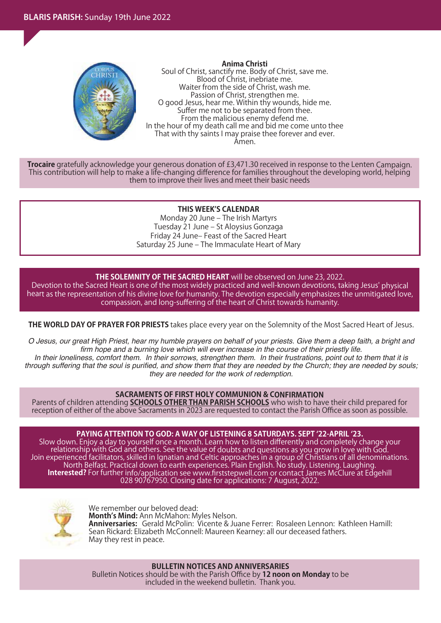

**Anima Christi** Soul of Christ, sanctify me. Body of Christ, save me. Blood of Christ, inebriate me. Waiter from the side of Christ, wash me. Passion of Christ, strengthen me. O good Jesus, hear me. Within thy wounds, hide me. Suffer me not to be separated from thee. From the malicious enemy defend me. In the hour of my death call me and bid me come unto thee That with thy saints I may praise thee forever and ever. Amen.

**Trocaire** gratefully acknowledge your generous donation of £3,471.30 received in response to the Lenten Campaign. This contribution will help to make a life-changing difference for families throughout the developing world, helping them to improve their lives and meet their basic needs

> **THIS WEEK'S CALENDAR** Monday 20 June – The Irish Martyrs Tuesday 21 June - St Aloysius Gonzaga Friday 24 June- Feast of the Sacred Heart Saturday 25 June – The Immaculate Heart of Mary

#### **THE SOLEMNITY OF THE SACRED HEART** will be observed on June 23, 2022.

Devotion to the Sacred Heart is one of the most widely practiced and well-known devotions, taking Jesus' physical heart as the representation of his divine love for humanity. The devotion especially emphasizes the unmitigated love, compassion, and long-suffering of the heart of Christ towards humanity.

**THE WORLD DAY OF PRAYER FOR PRIESTS** takes place every year on the Solemnity of the Most Sacred Heart of Jesus.

*O Jesus, our great High Priest, hear my humble prayers on behalf of your priests. Give them a deep faith, a bright and firm hope and a burning love which will ever increase in the course of their priestly life.*

*In their loneliness, comfort them. In their sorrows, strengthen them. In their frustrations, point out to them that it is through suffering that the soul is purified, and show them that they are needed by the Church; they are needed by souls; they are needed for the work of redemption.*

## **SACRAMENTS OF FIRST HOLY COMMUNION & CONFIRMATION**

Parents of children attending **SCHOOLS OTHER THAN PARISH SCHOOLS** who wish to have their child prepared for reception of either of the above Sacraments in 2023 are requested to contact the Parish Office as soon as possible.

#### **PAYING ATTENTION TO GOD: A WAY OF LISTENING 8 SATURDAYS. SEPT ʻ22-APRIL ʻ23.**

Slow down. Enjoy a day to yourself once a month. Learn how to listen differently and completely change your relationship with God and others. See the value of doubts and questions as you grow in love with God. Join experienced facilitators, skilled in Ignatian and Celtic approaches in a group of Christians of all denominations. North Belfast. Practical down to earth experiences. Plain English. No study. Listening. Laughing. **Interested?** For further info/application see www.firststepwell.com or contact James McClure at Edgehill 028 90767950. Closing date for applications: 7 August, 2022.



We remember our beloved dead: **Month's Mind:** Ann McMahon: Myles Nelson. **Anniversaries:** Gerald McPolin: Vicente & Juane Ferrer: Rosaleen Lennon: Kathleen Hamill: Sean Rickard: Elizabeth McConnell: Maureen Kearney: all our deceased fathers. May they rest in peace.

**BULLETIN NOTICES AND ANNIVERSARIES** Bulletin Notices should be with the Parish Office by **12 noon on Monday** to be included in the weekend bulletin. Thank you.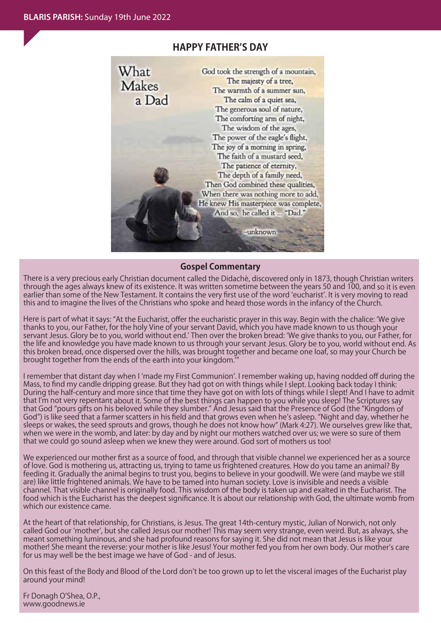

# **HAPPY FATHER'S DAY**

#### **Gospel Commentary**

There is a very precious early Christian document called the Didachè, discovered only in 1873, though Christian writers through the ages always knew of its existence. It was written sometime between the years 50 and 100, and so it is even earlier than some of the New Testament. It contains the very first use of the word ʻeucharist'. It is very moving to read this and to imagine the lives of the Christians who spoke and heard those words in the infancy of the Church.

Here is part of what it says: "At the Eucharist, offer the eucharistic prayer in this way. Begin with the chalice: ʻWe give thanks to you, our Father, for the holy Vine of your servant David, which you have made known to us though your servant Jesus. Glory be to you, world without end.' Then over the broken bread: 'We give thanks to you, our Father, for the life and knowledge you have made known to us through your servant Jesus. Glory be to you, world without end. As this broken bread, once dispersed over the hills, was brought together and became one loaf, so may your Church be brought together from the ends of the earth into your kingdom."

I remember that distant day when I ʻmade my First Communion'. I remember waking up, having nodded off during the Mass, to find my candle dripping grease. But they had got on with things while I slept. Looking back today I think: During the half-century and more since that time they have got on with lots of things while I slept! And I have to admit that I'm not very repentant about it. Some of the best things can happen to you while you sleep! The Scriptures say that God "pours gifts on his beloved while they slumber." And Jesus said that the Presence of God (the "Kingdom of God") is like seed that a farmer scatters in his field and that grows even when he's asleep. "Night and day, whether he sleeps or wakes, the seed sprouts and grows, though he does not know how" (Mark 4:27). We ourselves grew like that, when we were in the womb, and later: by day and by night our mothers watched over us; we were so sure of them that we could go sound asleep when we knew they were around. God sort of mothers us too!

We experienced our mother first as a source of food, and through that visible channel we experienced her as a source of love. God is mothering us, attracting us, trying to tame us frightened creatures. How do you tame an animal? By feeding it. Gradually the animal begins to trust you, begins to believe in your goodwill. We were (and maybe we still are) like little frightened animals. We have to be tamed into human society. Love is invisible and needs a visible channel. That visible channel is originally food. This wisdom of the body is taken up and exalted in the Eucharist. The food which is the Eucharist has the deepest significance. It is about our relationship with God, the ultimate womb from which our existence came.

At the heart of that relationship, for Christians, is Jesus. The great 14th-century mystic, Julian of Norwich, not only called God our ʻmother', but she called Jesus our mother! This may seem very strange, even weird. But, as always, she meant something luminous, and she had profound reasons for saying it. She did not mean that Jesus is like your mother! She meant the reverse: your mother is like Jesus! Your mother fed you from her own body. Our mother's care for us may well be the best image we have of God - and of Jesus.

On this feast of the Body and Blood of the Lord don't be too grown up to let the visceral images of the Eucharist play around your mind!

Fr Donagh O'Shea, O.P., www.goodnews.ie